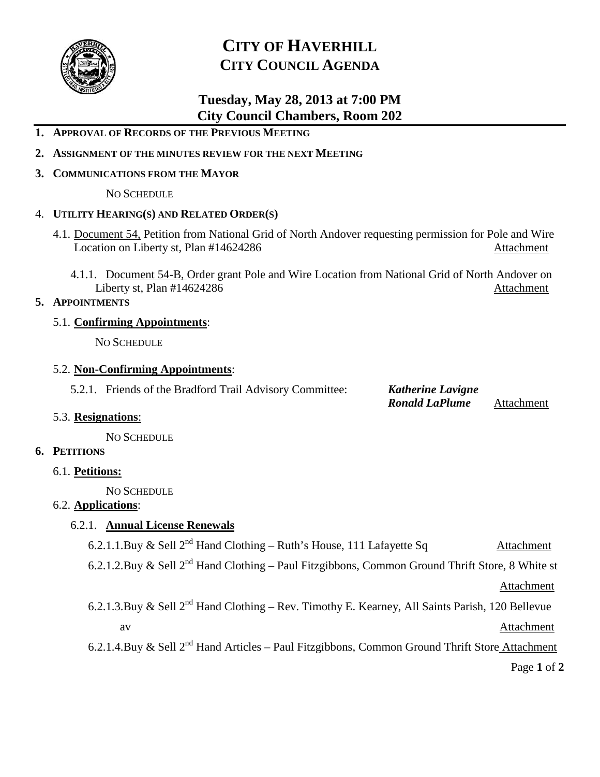

# **CITY OF HAVERHILL CITY COUNCIL AGENDA**

## **Tuesday, May 28, 2013 at 7:00 PM City Council Chambers, Room 202**

#### **1. APPROVAL OF RECORDS OF THE PREVIOUS MEETING**

**2. ASSIGNMENT OF THE MINUTES REVIEW FOR THE NEXT MEETING**

#### **3. COMMUNICATIONS FROM THE MAYOR**

NO SCHEDULE

#### 4. **UTILITY HEARING(S) AND RELATED ORDER(S)**

- 4.1. Document 54, Petition from National Grid of North Andover requesting permission for Pole and Wire Location on Liberty st, Plan #14624286 Attachment
	- 4.1.1. Document 54-B, Order grant Pole and Wire Location from National Grid of North Andover on Liberty st, Plan #14624286 Attachment

#### **5. APPOINTMENTS**

#### 5.1. **Confirming Appointments**:

NO SCHEDULE

#### 5.2. **Non-Confirming Appointments**:

5.2.1. Friends of the Bradford Trail Advisory Committee: *Katherine Lavigne*

*Ronald LaPlume* Attachment

#### 5.3. **Resignations**:

NO SCHEDULE

#### **6. PETITIONS**

6.1. **Petitions:**

NO SCHEDULE

### 6.2. **Applications**:

### 6.2.1. **Annual License Renewals**

6.2.1.1.Buy & Sell  $2^{nd}$  Hand Clothing – Ruth's House, 111 Lafayette Sq Attachment

6.2.1.2.Buy & Sell  $2^{nd}$  Hand Clothing – Paul Fitzgibbons, Common Ground Thrift Store, 8 White st

Attachment

6.2.1.3.Buy & Sell  $2^{nd}$  Hand Clothing – Rev. Timothy E. Kearney, All Saints Parish, 120 Bellevue av Attachment

6.2.1.4.Buy & Sell  $2^{nd}$  Hand Articles – Paul Fitzgibbons, Common Ground Thrift Store Attachment

Page **1** of **2**